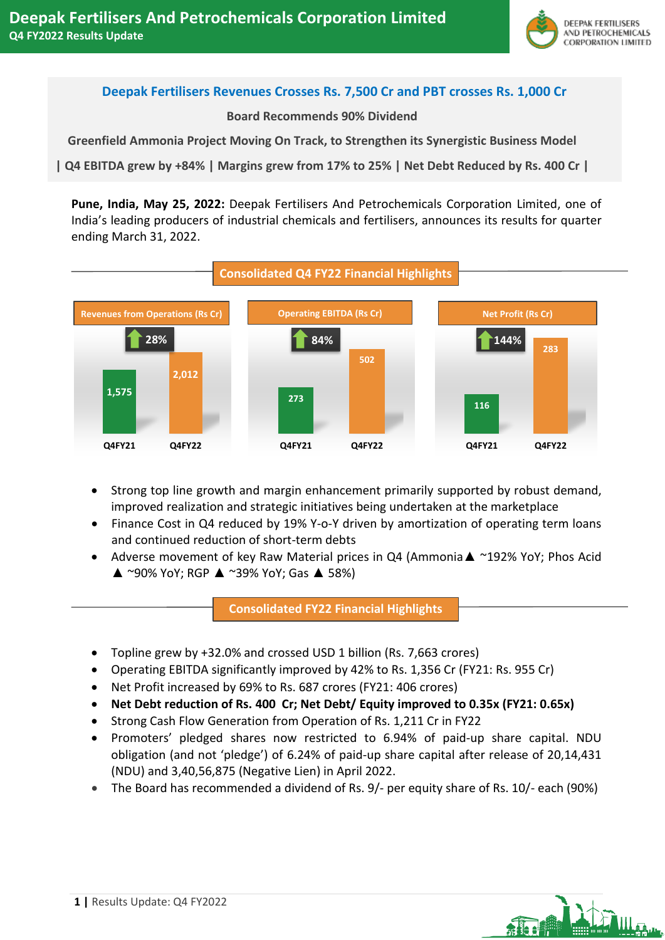

# **Deepak Fertilisers Revenues Crosses Rs. 7,500 Cr and PBT crosses Rs. 1,000 Cr**

**Board Recommends 90% Dividend** 

**Greenfield Ammonia Project Moving On Track, to Strengthen its Synergistic Business Model**

**| Q4 EBITDA grew by +84% | Margins grew from 17% to 25% | Net Debt Reduced by Rs. 400 Cr |**

**Pune, India, May 25, 2022:** Deepak Fertilisers And Petrochemicals Corporation Limited, one of India's leading producers of industrial chemicals and fertilisers, announces its results for quarter ending March 31, 2022.



- Strong top line growth and margin enhancement primarily supported by robust demand, improved realization and strategic initiatives being undertaken at the marketplace
- Finance Cost in Q4 reduced by 19% Y-o-Y driven by amortization of operating term loans and continued reduction of short-term debts
- Adverse movement of key Raw Material prices in Q4 (Ammonia▲ ~192% YoY; Phos Acid ▲ ~90% YoY; RGP ▲ ~39% YoY; Gas ▲ 58%)

**Consolidated FY22 Financial Highlights**

- Topline grew by +32.0% and crossed USD 1 billion (Rs. 7,663 crores)
- Operating EBITDA significantly improved by 42% to Rs. 1,356 Cr (FY21: Rs. 955 Cr)
- Net Profit increased by 69% to Rs. 687 crores (FY21: 406 crores)
- **Net Debt reduction of Rs. 400 Cr; Net Debt/ Equity improved to 0.35x (FY21: 0.65x)**
- Strong Cash Flow Generation from Operation of Rs. 1,211 Cr in FY22
- Promoters' pledged shares now restricted to 6.94% of paid-up share capital. NDU obligation (and not 'pledge') of 6.24% of paid-up share capital after release of 20,14,431 (NDU) and 3,40,56,875 (Negative Lien) in April 2022.
- The Board has recommended a dividend of Rs. 9/- per equity share of Rs. 10/- each (90%)

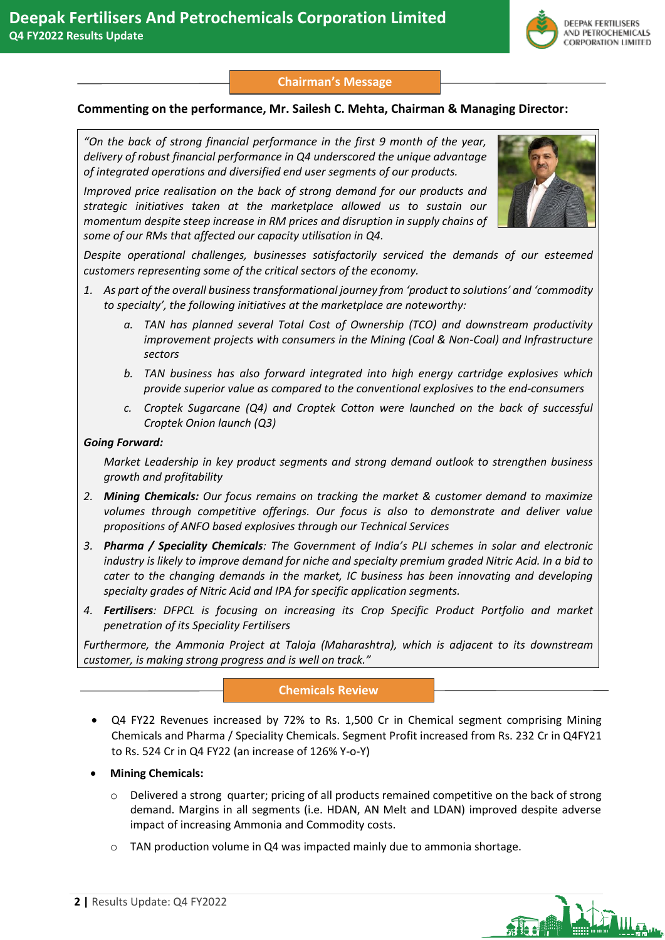

## **Chairman's Message**

## **Commenting on the performance, Mr. Sailesh C. Mehta, Chairman & Managing Director:**

*"On the back of strong financial performance in the first 9 month of the year, delivery of robust financial performance in Q4 underscored the unique advantage of integrated operations and diversified end user segments of our products.*

*Improved price realisation on the back of strong demand for our products and strategic initiatives taken at the marketplace allowed us to sustain our momentum despite steep increase in RM prices and disruption in supply chains of some of our RMs that affected our capacity utilisation in Q4.* 



*Despite operational challenges, businesses satisfactorily serviced the demands of our esteemed customers representing some of the critical sectors of the economy.* 

- *1. As part of the overall business transformational journey from 'product to solutions' and 'commodity to specialty', the following initiatives at the marketplace are noteworthy:* 
	- *a. TAN has planned several Total Cost of Ownership (TCO) and downstream productivity improvement projects with consumers in the Mining (Coal & Non-Coal) and Infrastructure sectors*
	- *b. TAN business has also forward integrated into high energy cartridge explosives which provide superior value as compared to the conventional explosives to the end-consumers*
	- *c. Croptek Sugarcane (Q4) and Croptek Cotton were launched on the back of successful Croptek Onion launch (Q3)*

#### *Going Forward:*

*Market Leadership in key product segments and strong demand outlook to strengthen business growth and profitability*

- *2. Mining Chemicals: Our focus remains on tracking the market & customer demand to maximize volumes through competitive offerings. Our focus is also to demonstrate and deliver value propositions of ANFO based explosives through our Technical Services*
- *3. Pharma / Speciality Chemicals: The Government of India's PLI schemes in solar and electronic industry is likely to improve demand for niche and specialty premium graded Nitric Acid. In a bid to cater to the changing demands in the market, IC business has been innovating and developing specialty grades of Nitric Acid and IPA for specific application segments.*
- *4. Fertilisers: DFPCL is focusing on increasing its Crop Specific Product Portfolio and market penetration of its Speciality Fertilisers*

*Furthermore, the Ammonia Project at Taloja (Maharashtra), which is adjacent to its downstream customer, is making strong progress and is well on track."*

## **Chemicals Review**

• Q4 FY22 Revenues increased by 72% to Rs. 1,500 Cr in Chemical segment comprising Mining Chemicals and Pharma / Speciality Chemicals. Segment Profit increased from Rs. 232 Cr in Q4FY21 to Rs. 524 Cr in Q4 FY22 (an increase of 126% Y-o-Y)

## • **Mining Chemicals:**

- $\circ$  Delivered a strong quarter; pricing of all products remained competitive on the back of strong demand. Margins in all segments (i.e. HDAN, AN Melt and LDAN) improved despite adverse impact of increasing Ammonia and Commodity costs.
- $\circ$  TAN production volume in Q4 was impacted mainly due to ammonia shortage.

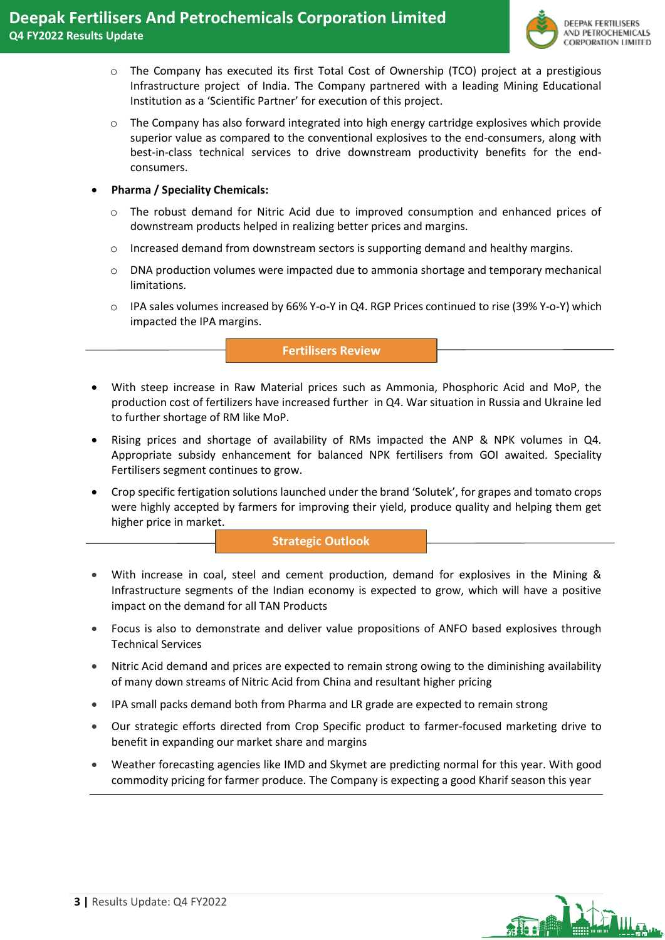

- o The Company has executed its first Total Cost of Ownership (TCO) project at a prestigious Infrastructure project of India. The Company partnered with a leading Mining Educational Institution as a 'Scientific Partner' for execution of this project.
- $\circ$  The Company has also forward integrated into high energy cartridge explosives which provide superior value as compared to the conventional explosives to the end-consumers, along with best-in-class technical services to drive downstream productivity benefits for the endconsumers.
- **Pharma / Speciality Chemicals:** 
	- o The robust demand for Nitric Acid due to improved consumption and enhanced prices of downstream products helped in realizing better prices and margins.
	- $\circ$  Increased demand from downstream sectors is supporting demand and healthy margins.
	- $\circ$  DNA production volumes were impacted due to ammonia shortage and temporary mechanical limitations.
	- $\circ$  IPA sales volumes increased by 66% Y-o-Y in Q4. RGP Prices continued to rise (39% Y-o-Y) which impacted the IPA margins.

## **Fertilisers Review**

- With steep increase in Raw Material prices such as Ammonia, Phosphoric Acid and MoP, the production cost of fertilizers have increased further in Q4. War situation in Russia and Ukraine led to further shortage of RM like MoP.
- Rising prices and shortage of availability of RMs impacted the ANP & NPK volumes in Q4. Appropriate subsidy enhancement for balanced NPK fertilisers from GOI awaited. Speciality Fertilisers segment continues to grow.
- Crop specific fertigation solutions launched under the brand 'Solutek', for grapes and tomato crops were highly accepted by farmers for improving their yield, produce quality and helping them get higher price in market.

## **Strategic Outlook**

- With increase in coal, steel and cement production, demand for explosives in the Mining & Infrastructure segments of the Indian economy is expected to grow, which will have a positive impact on the demand for all TAN Products
- Focus is also to demonstrate and deliver value propositions of ANFO based explosives through Technical Services
- Nitric Acid demand and prices are expected to remain strong owing to the diminishing availability of many down streams of Nitric Acid from China and resultant higher pricing
- IPA small packs demand both from Pharma and LR grade are expected to remain strong
- Our strategic efforts directed from Crop Specific product to farmer-focused marketing drive to benefit in expanding our market share and margins
- Weather forecasting agencies like IMD and Skymet are predicting normal for this year. With good commodity pricing for farmer produce. The Company is expecting a good Kharif season this year